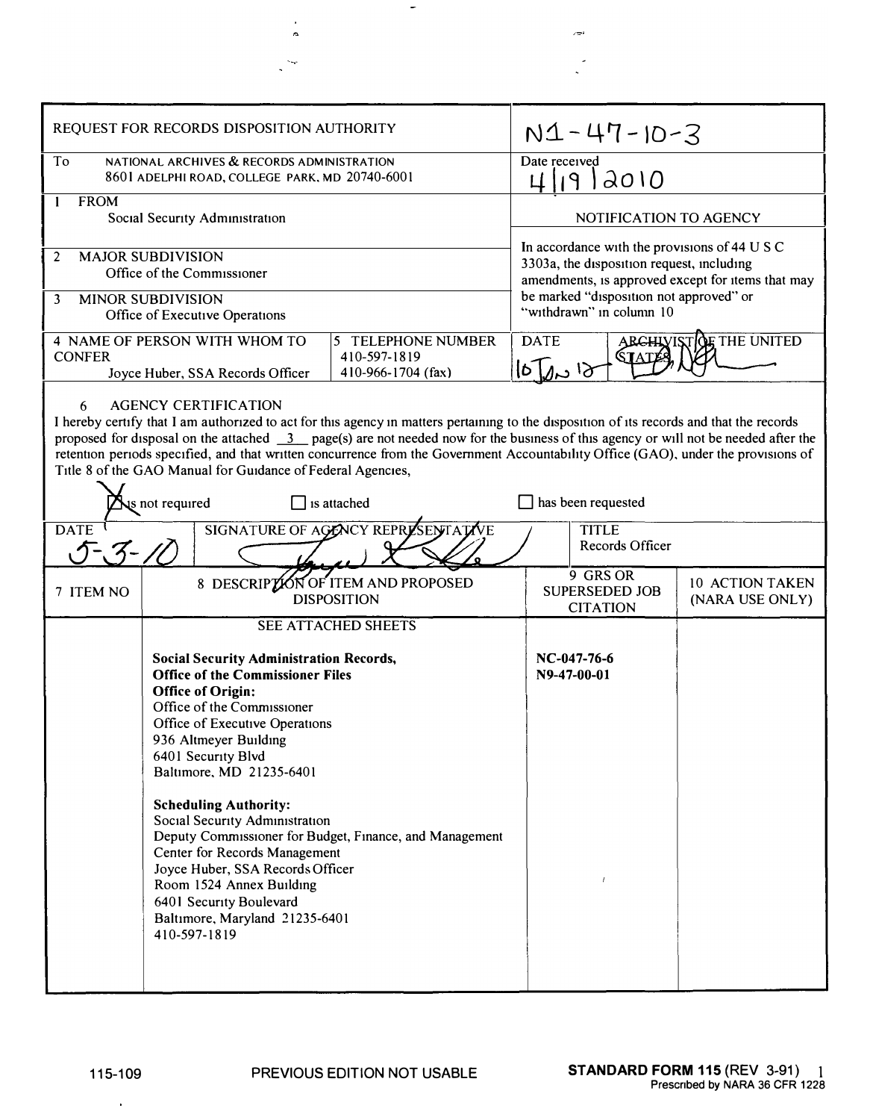| REQUEST FOR RECORDS DISPOSITION AUTHORITY                                                                                                                                                                                                                                                                                                                                                                                                                                                                                                                                                                  | $N1 - 47 - 10 - 3$                                                                                                                              |
|------------------------------------------------------------------------------------------------------------------------------------------------------------------------------------------------------------------------------------------------------------------------------------------------------------------------------------------------------------------------------------------------------------------------------------------------------------------------------------------------------------------------------------------------------------------------------------------------------------|-------------------------------------------------------------------------------------------------------------------------------------------------|
| To<br>NATIONAL ARCHIVES & RECORDS ADMINISTRATION<br>8601 ADELPHI ROAD, COLLEGE PARK, MD 20740-6001                                                                                                                                                                                                                                                                                                                                                                                                                                                                                                         | Date received<br>4/19/2010                                                                                                                      |
| <b>FROM</b><br>1<br>Social Security Administration                                                                                                                                                                                                                                                                                                                                                                                                                                                                                                                                                         | NOTIFICATION TO AGENCY                                                                                                                          |
| <b>MAJOR SUBDIVISION</b><br>2<br>Office of the Commissioner                                                                                                                                                                                                                                                                                                                                                                                                                                                                                                                                                | In accordance with the provisions of 44 U S C<br>3303a, the disposition request, including<br>amendments, is approved except for items that may |
| <b>MINOR SUBDIVISION</b><br>3<br>Office of Executive Operations                                                                                                                                                                                                                                                                                                                                                                                                                                                                                                                                            | be marked "disposition not approved" or<br>"withdrawn" in column 10                                                                             |
| 4 NAME OF PERSON WITH WHOM TO<br>5 TELEPHONE NUMBER<br><b>CONFER</b><br>410-597-1819<br>410-966-1704 (fax)<br>Joyce Huber, SSA Records Officer                                                                                                                                                                                                                                                                                                                                                                                                                                                             | <b>ARCHIVISTOF THE UNITED</b><br><b>DATE</b><br>ور ص                                                                                            |
| <b>AGENCY CERTIFICATION</b><br>6<br>I hereby certify that I am authorized to act for this agency in matters pertaining to the disposition of its records and that the records<br>proposed for disposal on the attached $\frac{3}{2}$ page(s) are not needed now for the business of this agency or will not be needed after the<br>retention periods specified, and that written concurrence from the Government Accountability Office (GAO), under the provisions of<br>Title 8 of the GAO Manual for Guidance of Federal Agencies,<br>$\sum$ not required<br>$\exists$ is attached<br>has been requested |                                                                                                                                                 |
| SIGNATURE OF AGENCY REPRESENTATIVE<br><b>DATE</b><br>$\sqrt{7} - \sqrt{7} - \sqrt{7}$                                                                                                                                                                                                                                                                                                                                                                                                                                                                                                                      | <b>TITLE</b><br>Records Officer                                                                                                                 |
| 8 DESCRIPTION OF ITEM AND PROPOSED<br>7 ITEM NO<br><b>DISPOSITION</b>                                                                                                                                                                                                                                                                                                                                                                                                                                                                                                                                      | 9 GRS OR<br>10 ACTION TAKEN<br><b>SUPERSEDED JOB</b><br>(NARA USE ONLY)<br><b>CITATION</b>                                                      |
| SEE ATTACHED SHEETS<br><b>Social Security Administration Records,</b><br><b>Office of the Commissioner Files</b><br><b>Office of Origin:</b><br>Office of the Commissioner<br>Office of Executive Operations<br>936 Altmeyer Building<br>6401 Security Blvd<br>Baltimore, MD 21235-6401<br><b>Scheduling Authority:</b><br>Social Security Administration<br>Deputy Commissioner for Budget, Finance, and Management<br>Center for Records Management<br>Joyce Huber, SSA Records Officer<br>Room 1524 Annex Building<br>6401 Security Boulevard<br>Baltimore, Maryland 21235-6401<br>410-597-1819         | NC-047-76-6<br>N9-47-00-01                                                                                                                      |

 $\left\vert \cdot \right\rangle$ 

 $\sigma$ 

 $\sim$ 

 $\hat{a}$ 

 $\mathbb{R}^2$ 

 $\mathcal{L}^{\mathcal{L}}$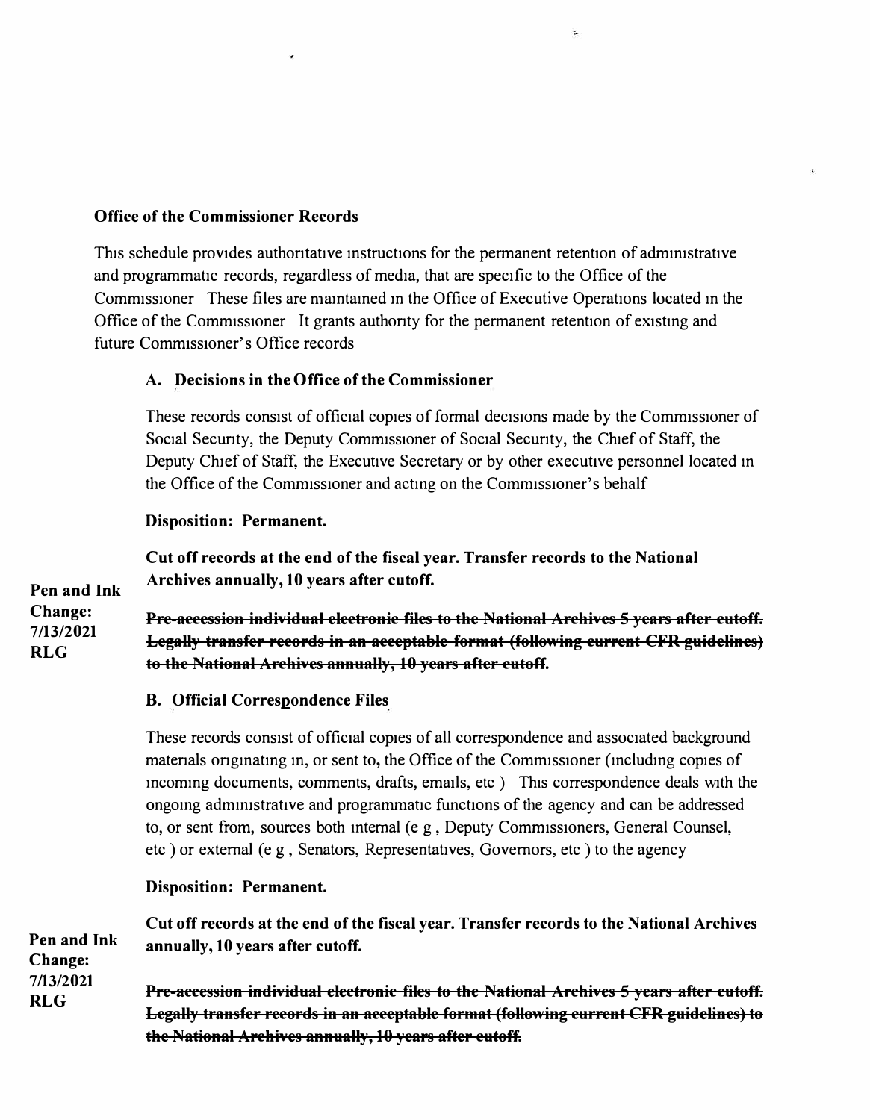#### **Office of the Commissioner Records**

This schedule provides authoritative instructions for the permanent retention of administrative and programmatic records, regardless of media, that are specific to the Office of the Comm1ss10ner These files are mamtamed m the Office of Executive Operations located m the Office of the Commissioner It grants authority for the permanent retention of existing and future Commissioner's Office records

# **A. Decisions in the Office of the Commissioner**

These records consist of official copies of formal decisions made by the Commissioner of Social Security, the Deputy Commissioner of Social Security, the Chief of Staff, the Deputy Chief of Staff, the Executive Secretary or by other executive personnel located m the Office of the Commissioner and acting on the Commissioner's behalf

#### **Disposition: Permanent.**

**Cut off records at the end of the fiscal year. Transfer records to the National Archives annually, 10 years after cutoff.** 

**Pen and Ink Change: 7/13/2021 RLG** 

**Pre-accession individual electronic files to the National Archives 5 years after cutoff. Legally transfer records in an acceptable format (following current CFR guidelines) to the National Archives annually, 10 years after cutoff.** 

## **B. Official Correspondence Files**

These records consist of official copies of all correspondence and associated background materials originating in, or sent to, the Office of the Commissioner (including copies of mcommg documents, comments, drafts, emails, etc ) This correspondence deals with the ongoing administrative and programmatic functions of the agency and can be addressed to, or sent from, sources both internal ( $e \rho$ , Deputy Commissioners, General Counsel, etc ) or external ( e g , Senators, Representatives, Governors, etc ) to the agency

## **Disposition: Permanent.**

**Pen and Ink Change: 7/13/2021 RLG Cut off records at the end of the fiscal year. Transfer records to the National Archives annually, 10 years after cutoff. Pre-accession individual electronic files to the National Archives 5 years after cutoff. Legally transfer records in an acceptable format (following current CFR guidelines) to the National Archives annually, 10 years after cutoff.**